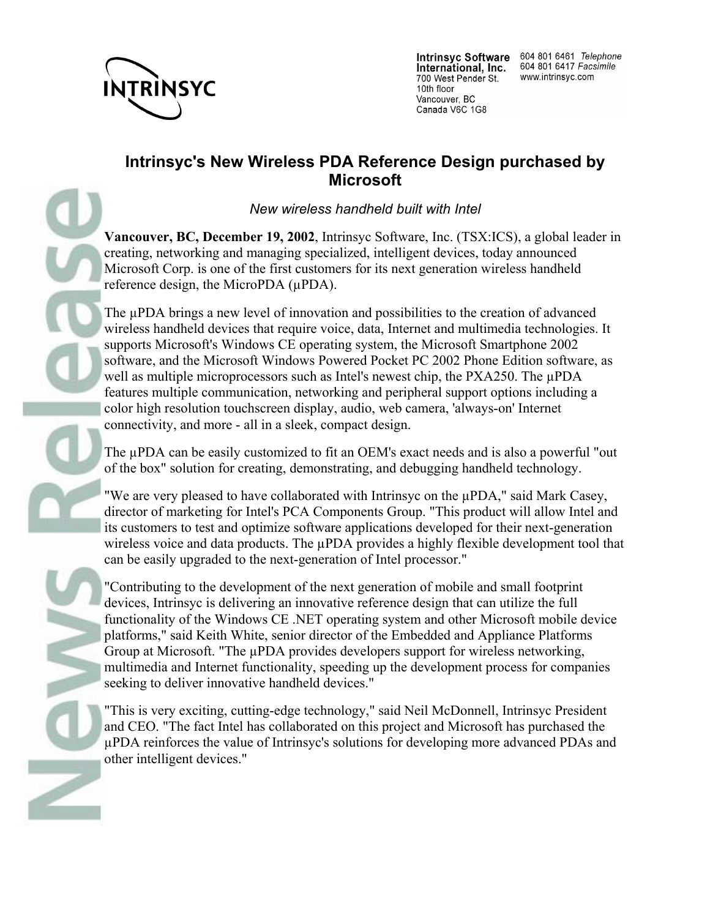

International, Inc. 700 West Pender St. 10th floor Vancouver, BC Canada V6C 1G8

Intrinsyc Software 604 801 6461 Telephone 604 801 6417 Facsimile www.intrinsyc.com

## **Intrinsyc's New Wireless PDA Reference Design purchased by Microsoft**

*New wireless handheld built with Intel*

**Vancouver, BC, December 19, 2002**, Intrinsyc Software, Inc. (TSX:ICS), a global leader in creating, networking and managing specialized, intelligent devices, today announced Microsoft Corp. is one of the first customers for its next generation wireless handheld reference design, the MicroPDA (µPDA).

The µPDA brings a new level of innovation and possibilities to the creation of advanced wireless handheld devices that require voice, data, Internet and multimedia technologies. It supports Microsoft's Windows CE operating system, the Microsoft Smartphone 2002 software, and the Microsoft Windows Powered Pocket PC 2002 Phone Edition software, as well as multiple microprocessors such as Intel's newest chip, the PXA250. The µPDA features multiple communication, networking and peripheral support options including a color high resolution touchscreen display, audio, web camera, 'always-on' Internet connectivity, and more - all in a sleek, compact design.

The µPDA can be easily customized to fit an OEM's exact needs and is also a powerful "out of the box" solution for creating, demonstrating, and debugging handheld technology.

"We are very pleased to have collaborated with Intrinsyc on the µPDA," said Mark Casey, director of marketing for Intel's PCA Components Group. "This product will allow Intel and its customers to test and optimize software applications developed for their next-generation wireless voice and data products. The uPDA provides a highly flexible development tool that can be easily upgraded to the next-generation of Intel processor."

"Contributing to the development of the next generation of mobile and small footprint devices, Intrinsyc is delivering an innovative reference design that can utilize the full functionality of the Windows CE .NET operating system and other Microsoft mobile device platforms," said Keith White, senior director of the Embedded and Appliance Platforms Group at Microsoft. "The µPDA provides developers support for wireless networking, multimedia and Internet functionality, speeding up the development process for companies seeking to deliver innovative handheld devices."

"This is very exciting, cutting-edge technology," said Neil McDonnell, Intrinsyc President and CEO. "The fact Intel has collaborated on this project and Microsoft has purchased the µPDA reinforces the value of Intrinsyc's solutions for developing more advanced PDAs and other intelligent devices."